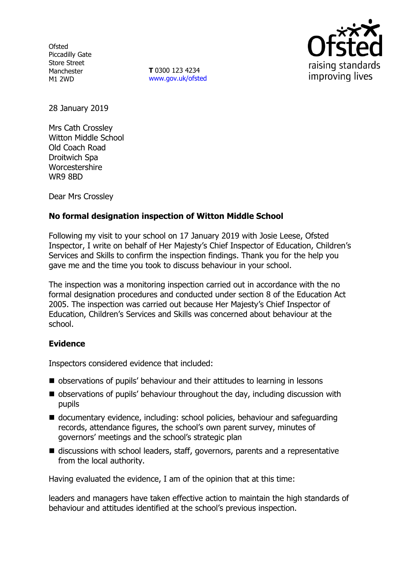**Ofsted** Piccadilly Gate Store Street Manchester M1 2WD

**T** 0300 123 4234 www.gov.uk/ofsted



28 January 2019

Mrs Cath Crossley Witton Middle School Old Coach Road Droitwich Spa **Worcestershire** WR9 8BD

Dear Mrs Crossley

# **No formal designation inspection of Witton Middle School**

Following my visit to your school on 17 January 2019 with Josie Leese, Ofsted Inspector, I write on behalf of Her Majesty's Chief Inspector of Education, Children's Services and Skills to confirm the inspection findings. Thank you for the help you gave me and the time you took to discuss behaviour in your school.

The inspection was a monitoring inspection carried out in accordance with the no formal designation procedures and conducted under section 8 of the Education Act 2005. The inspection was carried out because Her Majesty's Chief Inspector of Education, Children's Services and Skills was concerned about behaviour at the school.

## **Evidence**

Inspectors considered evidence that included:

- observations of pupils' behaviour and their attitudes to learning in lessons
- observations of pupils' behaviour throughout the day, including discussion with pupils
- documentary evidence, including: school policies, behaviour and safeguarding records, attendance figures, the school's own parent survey, minutes of governors' meetings and the school's strategic plan
- discussions with school leaders, staff, governors, parents and a representative from the local authority.

Having evaluated the evidence, I am of the opinion that at this time:

leaders and managers have taken effective action to maintain the high standards of behaviour and attitudes identified at the school's previous inspection.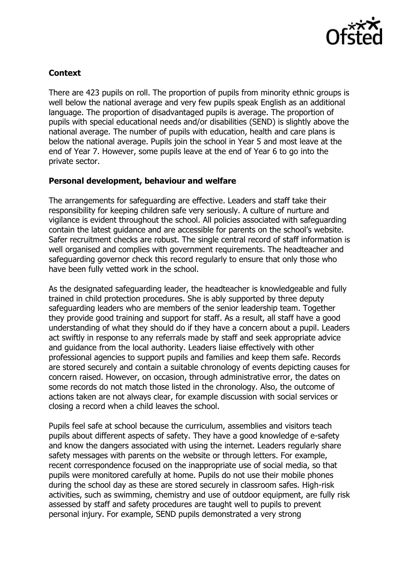

## **Context**

There are 423 pupils on roll. The proportion of pupils from minority ethnic groups is well below the national average and very few pupils speak English as an additional language. The proportion of disadvantaged pupils is average. The proportion of pupils with special educational needs and/or disabilities (SEND) is slightly above the national average. The number of pupils with education, health and care plans is below the national average. Pupils join the school in Year 5 and most leave at the end of Year 7. However, some pupils leave at the end of Year 6 to go into the private sector.

## **Personal development, behaviour and welfare**

The arrangements for safeguarding are effective. Leaders and staff take their responsibility for keeping children safe very seriously. A culture of nurture and vigilance is evident throughout the school. All policies associated with safeguarding contain the latest guidance and are accessible for parents on the school's website. Safer recruitment checks are robust. The single central record of staff information is well organised and complies with government requirements. The headteacher and safeguarding governor check this record regularly to ensure that only those who have been fully vetted work in the school.

As the designated safeguarding leader, the headteacher is knowledgeable and fully trained in child protection procedures. She is ably supported by three deputy safeguarding leaders who are members of the senior leadership team. Together they provide good training and support for staff. As a result, all staff have a good understanding of what they should do if they have a concern about a pupil. Leaders act swiftly in response to any referrals made by staff and seek appropriate advice and guidance from the local authority. Leaders liaise effectively with other professional agencies to support pupils and families and keep them safe. Records are stored securely and contain a suitable chronology of events depicting causes for concern raised. However, on occasion, through administrative error, the dates on some records do not match those listed in the chronology. Also, the outcome of actions taken are not always clear, for example discussion with social services or closing a record when a child leaves the school.

Pupils feel safe at school because the curriculum, assemblies and visitors teach pupils about different aspects of safety. They have a good knowledge of e-safety and know the dangers associated with using the internet. Leaders regularly share safety messages with parents on the website or through letters. For example, recent correspondence focused on the inappropriate use of social media, so that pupils were monitored carefully at home. Pupils do not use their mobile phones during the school day as these are stored securely in classroom safes. High-risk activities, such as swimming, chemistry and use of outdoor equipment, are fully risk assessed by staff and safety procedures are taught well to pupils to prevent personal injury. For example, SEND pupils demonstrated a very strong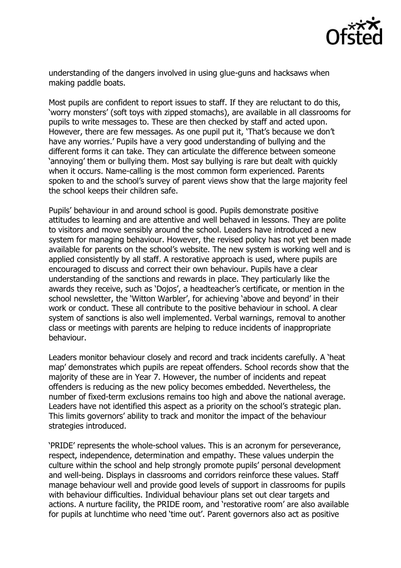

understanding of the dangers involved in using glue-guns and hacksaws when making paddle boats.

Most pupils are confident to report issues to staff. If they are reluctant to do this, 'worry monsters' (soft toys with zipped stomachs), are available in all classrooms for pupils to write messages to. These are then checked by staff and acted upon. However, there are few messages. As one pupil put it, 'That's because we don't have any worries.' Pupils have a very good understanding of bullying and the different forms it can take. They can articulate the difference between someone 'annoying' them or bullying them. Most say bullying is rare but dealt with quickly when it occurs. Name-calling is the most common form experienced. Parents spoken to and the school's survey of parent views show that the large majority feel the school keeps their children safe.

Pupils' behaviour in and around school is good. Pupils demonstrate positive attitudes to learning and are attentive and well behaved in lessons. They are polite to visitors and move sensibly around the school. Leaders have introduced a new system for managing behaviour. However, the revised policy has not yet been made available for parents on the school's website. The new system is working well and is applied consistently by all staff. A restorative approach is used, where pupils are encouraged to discuss and correct their own behaviour. Pupils have a clear understanding of the sanctions and rewards in place. They particularly like the awards they receive, such as 'Dojos', a headteacher's certificate, or mention in the school newsletter, the 'Witton Warbler', for achieving 'above and beyond' in their work or conduct. These all contribute to the positive behaviour in school. A clear system of sanctions is also well implemented. Verbal warnings, removal to another class or meetings with parents are helping to reduce incidents of inappropriate behaviour.

Leaders monitor behaviour closely and record and track incidents carefully. A 'heat map' demonstrates which pupils are repeat offenders. School records show that the majority of these are in Year 7. However, the number of incidents and repeat offenders is reducing as the new policy becomes embedded. Nevertheless, the number of fixed-term exclusions remains too high and above the national average. Leaders have not identified this aspect as a priority on the school's strategic plan. This limits governors' ability to track and monitor the impact of the behaviour strategies introduced.

'PRIDE' represents the whole-school values. This is an acronym for perseverance, respect, independence, determination and empathy. These values underpin the culture within the school and help strongly promote pupils' personal development and well-being. Displays in classrooms and corridors reinforce these values. Staff manage behaviour well and provide good levels of support in classrooms for pupils with behaviour difficulties. Individual behaviour plans set out clear targets and actions. A nurture facility, the PRIDE room, and 'restorative room' are also available for pupils at lunchtime who need 'time out'. Parent governors also act as positive